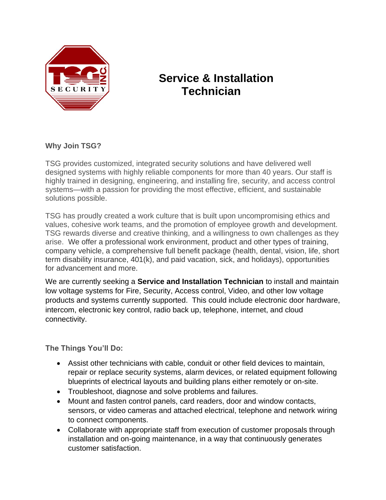

## **Service & Installation Technician**

## **Why Join TSG?**

TSG provides customized, integrated security solutions and have delivered well designed systems with highly reliable components for more than 40 years. Our staff is highly trained in designing, engineering, and installing fire, security, and access control systems—with a passion for providing the most effective, efficient, and sustainable solutions possible.

TSG has proudly created a work culture that is built upon uncompromising ethics and values, cohesive work teams, and the promotion of employee growth and development. TSG rewards diverse and creative thinking, and a willingness to own challenges as they arise. We offer a professional work environment, product and other types of training, company vehicle, a comprehensive full benefit package (health, dental, vision, life, short term disability insurance, 401(k), and paid vacation, sick, and holidays), opportunities for advancement and more.

We are currently seeking a **Service and Installation Technician** to install and maintain low voltage systems for Fire, Security, Access control, Video, and other low voltage products and systems currently supported. This could include electronic door hardware, intercom, electronic key control, radio back up, telephone, internet, and cloud connectivity.

**The Things You'll Do:**

- Assist other technicians with cable, conduit or other field devices to maintain, repair or replace security systems, alarm devices, or related equipment following blueprints of electrical layouts and building plans either remotely or on-site.
- Troubleshoot, diagnose and solve problems and failures.
- Mount and fasten control panels, card readers, door and window contacts, sensors, or video cameras and attached electrical, telephone and network wiring to connect components.
- Collaborate with appropriate staff from execution of customer proposals through installation and on-going maintenance, in a way that continuously generates customer satisfaction.